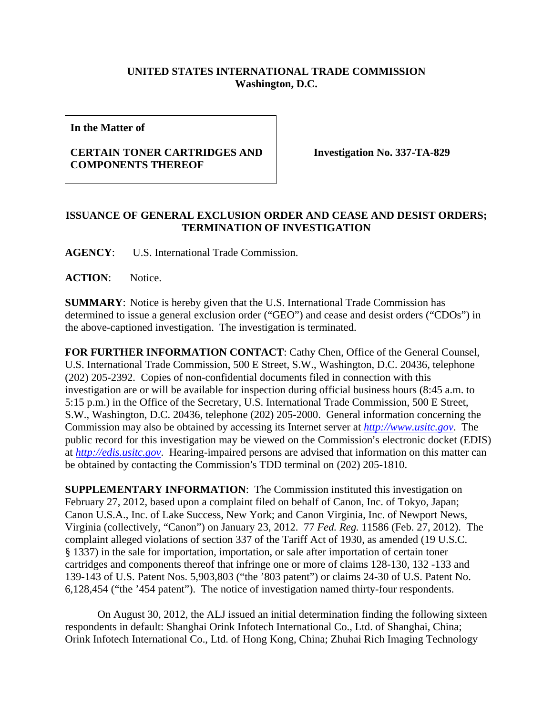## **UNITED STATES INTERNATIONAL TRADE COMMISSION Washington, D.C.**

**In the Matter of** 

## **CERTAIN TONER CARTRIDGES AND COMPONENTS THEREOF**

**Investigation No. 337-TA-829** 

## **ISSUANCE OF GENERAL EXCLUSION ORDER AND CEASE AND DESIST ORDERS; TERMINATION OF INVESTIGATION**

**AGENCY**: U.S. International Trade Commission.

**ACTION**: Notice.

**SUMMARY**: Notice is hereby given that the U.S. International Trade Commission has determined to issue a general exclusion order ("GEO") and cease and desist orders ("CDOs") in the above-captioned investigation. The investigation is terminated.

**FOR FURTHER INFORMATION CONTACT**: Cathy Chen, Office of the General Counsel, U.S. International Trade Commission, 500 E Street, S.W., Washington, D.C. 20436, telephone (202) 205-2392. Copies of non-confidential documents filed in connection with this investigation are or will be available for inspection during official business hours (8:45 a.m. to 5:15 p.m.) in the Office of the Secretary, U.S. International Trade Commission, 500 E Street, S.W., Washington, D.C. 20436, telephone (202) 205-2000. General information concerning the Commission may also be obtained by accessing its Internet server at *http://www.usitc.gov*. The public record for this investigation may be viewed on the Commission's electronic docket (EDIS) at *http://edis.usitc.gov*. Hearing-impaired persons are advised that information on this matter can be obtained by contacting the Commission's TDD terminal on (202) 205-1810.

**SUPPLEMENTARY INFORMATION**: The Commission instituted this investigation on February 27, 2012, based upon a complaint filed on behalf of Canon, Inc. of Tokyo, Japan; Canon U.S.A., Inc. of Lake Success, New York; and Canon Virginia, Inc. of Newport News, Virginia (collectively, "Canon") on January 23, 2012. 77 *Fed. Reg.* 11586 (Feb. 27, 2012). The complaint alleged violations of section 337 of the Tariff Act of 1930, as amended (19 U.S.C. § 1337) in the sale for importation, importation, or sale after importation of certain toner cartridges and components thereof that infringe one or more of claims 128-130, 132 -133 and 139-143 of U.S. Patent Nos. 5,903,803 ("the '803 patent") or claims 24-30 of U.S. Patent No. 6,128,454 ("the '454 patent"). The notice of investigation named thirty-four respondents.

 On August 30, 2012, the ALJ issued an initial determination finding the following sixteen respondents in default: Shanghai Orink Infotech International Co., Ltd. of Shanghai, China; Orink Infotech International Co., Ltd. of Hong Kong, China; Zhuhai Rich Imaging Technology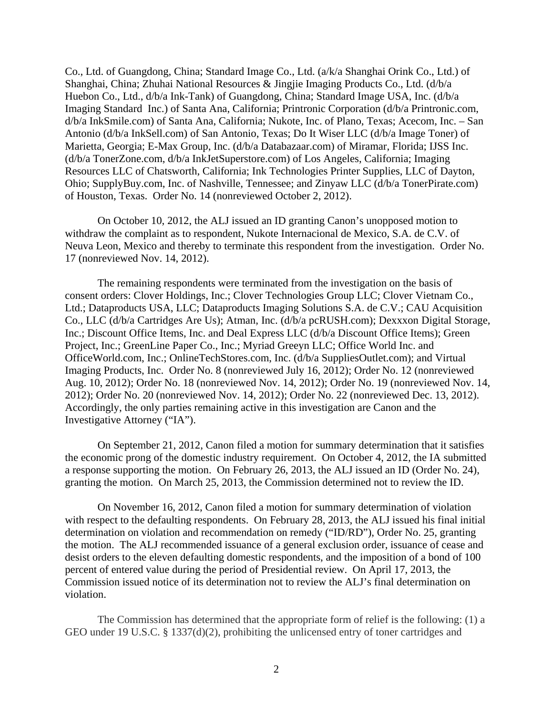Co., Ltd. of Guangdong, China; Standard Image Co., Ltd. (a/k/a Shanghai Orink Co., Ltd.) of Shanghai, China; Zhuhai National Resources & Jingjie Imaging Products Co., Ltd. (d/b/a Huebon Co., Ltd., d/b/a Ink-Tank) of Guangdong, China; Standard Image USA, Inc. (d/b/a Imaging Standard Inc.) of Santa Ana, California; Printronic Corporation (d/b/a Printronic.com, d/b/a InkSmile.com) of Santa Ana, California; Nukote, Inc. of Plano, Texas; Acecom, Inc. – San Antonio (d/b/a InkSell.com) of San Antonio, Texas; Do It Wiser LLC (d/b/a Image Toner) of Marietta, Georgia; E-Max Group, Inc. (d/b/a Databazaar.com) of Miramar, Florida; IJSS Inc. (d/b/a TonerZone.com, d/b/a InkJetSuperstore.com) of Los Angeles, California; Imaging Resources LLC of Chatsworth, California; Ink Technologies Printer Supplies, LLC of Dayton, Ohio; SupplyBuy.com, Inc. of Nashville, Tennessee; and Zinyaw LLC (d/b/a TonerPirate.com) of Houston, Texas. Order No. 14 (nonreviewed October 2, 2012).

 On October 10, 2012, the ALJ issued an ID granting Canon's unopposed motion to withdraw the complaint as to respondent, Nukote Internacional de Mexico, S.A. de C.V. of Neuva Leon, Mexico and thereby to terminate this respondent from the investigation. Order No. 17 (nonreviewed Nov. 14, 2012).

 The remaining respondents were terminated from the investigation on the basis of consent orders: Clover Holdings, Inc.; Clover Technologies Group LLC; Clover Vietnam Co., Ltd.; Dataproducts USA, LLC; Dataproducts Imaging Solutions S.A. de C.V.; CAU Acquisition Co., LLC (d/b/a Cartridges Are Us); Atman, Inc. (d/b/a pcRUSH.com); Dexxxon Digital Storage, Inc.; Discount Office Items, Inc. and Deal Express LLC (d/b/a Discount Office Items); Green Project, Inc.; GreenLine Paper Co., Inc.; Myriad Greeyn LLC; Office World Inc. and OfficeWorld.com, Inc.; OnlineTechStores.com, Inc. (d/b/a SuppliesOutlet.com); and Virtual Imaging Products, Inc. Order No. 8 (nonreviewed July 16, 2012); Order No. 12 (nonreviewed Aug. 10, 2012); Order No. 18 (nonreviewed Nov. 14, 2012); Order No. 19 (nonreviewed Nov. 14, 2012); Order No. 20 (nonreviewed Nov. 14, 2012); Order No. 22 (nonreviewed Dec. 13, 2012). Accordingly, the only parties remaining active in this investigation are Canon and the Investigative Attorney ("IA").

On September 21, 2012, Canon filed a motion for summary determination that it satisfies the economic prong of the domestic industry requirement. On October 4, 2012, the IA submitted a response supporting the motion. On February 26, 2013, the ALJ issued an ID (Order No. 24), granting the motion. On March 25, 2013, the Commission determined not to review the ID.

On November 16, 2012, Canon filed a motion for summary determination of violation with respect to the defaulting respondents. On February 28, 2013, the ALJ issued his final initial determination on violation and recommendation on remedy ("ID/RD"), Order No. 25, granting the motion. The ALJ recommended issuance of a general exclusion order, issuance of cease and desist orders to the eleven defaulting domestic respondents, and the imposition of a bond of 100 percent of entered value during the period of Presidential review. On April 17, 2013, the Commission issued notice of its determination not to review the ALJ's final determination on violation.

The Commission has determined that the appropriate form of relief is the following: (1) a GEO under 19 U.S.C. § 1337(d)(2), prohibiting the unlicensed entry of toner cartridges and